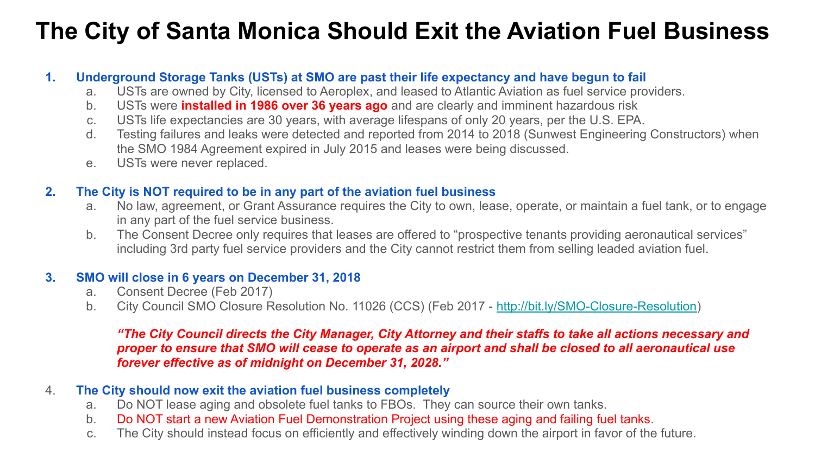# **The City of Santa Monica Should Exit the Aviation Fuel Business**

### **1. Underground Storage Tanks (USTs) at SMO are past their life expectancy and have begun to fail**

- a. USTs are owned by City, licensed to Aeroplex, and leased to Atlantic Aviation as fuel service providers.
- b. USTs were **installed in 1986 over 36 years ago** and are clearly and imminent hazardous risk
- c. USTs life expectancies are 30 years, with average lifespans of only 20 years, per the U.S. EPA.
- d. Testing failures and leaks were detected and reported from 2014 to 2018 (Sunwest Engineering Constructors) when the SMO 1984 Agreement expired in July 2015 and leases were being discussed.
- e. USTs were never replaced.

### **2. The City is NOT required to be in any part of the aviation fuel business**

- a. No law, agreement, or Grant Assurance requires the City to own, lease, operate, or maintain a fuel tank, or to engage in any part of the fuel service business.
- b. The Consent Decree only requires that leases are offered to "prospective tenants providing aeronautical services" including 3rd party fuel service providers and the City cannot restrict them from selling leaded aviation fuel.

#### **3. SMO will close in 6 years on December 31, 2018**

- a. Consent Decree (Feb 2017)
- b. City Council SMO Closure Resolution No. 11026 (CCS) (Feb 2017 [http://bit.ly/SMO-Closure-Resolution\)](http://bit.ly/SMO-Closure-Resolution)

#### *"The City Council directs the City Manager, City Attorney and their staffs to take all actions necessary and proper to ensure that SMO will cease to operate as an airport and shall be closed to all aeronautical use forever effective as of midnight on December 31, 2028."*

### 4. **The City should now exit the aviation fuel business completely**

- a. Do NOT lease aging and obsolete fuel tanks to FBOs. They can source their own tanks.
- b. Do NOT start a new Aviation Fuel Demonstration Project using these aging and failing fuel tanks.
- c. The City should instead focus on efficiently and effectively winding down the airport in favor of the future.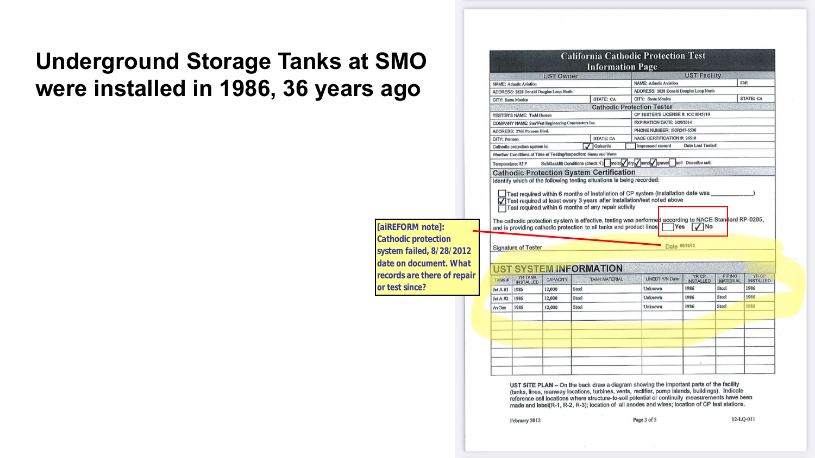## **Underground Storage Tanks at SMO were installed in 1986, 36 years ago**

*[aiREFORM note]: Cathodic protection system failed, 8/28/2012 date on document. What records are there of repair or test since?*

|                                                                                  |                                                                  | <b>UST Owner</b> |       | <b>Information Page</b>                                                                                                                                                        |                                                                                   | <b>UST Facility</b>      |                 |                          |  |
|----------------------------------------------------------------------------------|------------------------------------------------------------------|------------------|-------|--------------------------------------------------------------------------------------------------------------------------------------------------------------------------------|-----------------------------------------------------------------------------------|--------------------------|-----------------|--------------------------|--|
| <b>NAME: Atlantic Aviation</b><br><b>ADDRESS: 2828 Donald Douglas Loop North</b> |                                                                  |                  |       |                                                                                                                                                                                | ID#:<br><b>NAME: Atlantic Aviation</b>                                            |                          |                 |                          |  |
|                                                                                  |                                                                  |                  |       |                                                                                                                                                                                | ADDRESS: 2828 Donald Douglas Loop North                                           |                          |                 |                          |  |
|                                                                                  | STATE: CA<br>CITY: Sonta Monica                                  |                  |       |                                                                                                                                                                                | CITY: Santa Monica                                                                |                          |                 | STATE: CA                |  |
|                                                                                  |                                                                  |                  |       | <b>Cathodic Protection Tester</b>                                                                                                                                              |                                                                                   |                          |                 |                          |  |
| <b>TESTER'S NAME: Todd Hanson</b>                                                |                                                                  |                  |       |                                                                                                                                                                                | CP TESTER'S LICENSE #: ICC 8045710                                                |                          |                 |                          |  |
| COMPANY NAME: SunWest Engineering Constructors Inc.                              |                                                                  |                  |       |                                                                                                                                                                                | <b>EXPIRATION DATE: 3/29/2014</b>                                                 |                          |                 |                          |  |
| ADDRESS: 2766 Pomona Blvd.                                                       |                                                                  |                  |       |                                                                                                                                                                                | PHONE NUMBER: (909)247-6538                                                       |                          |                 |                          |  |
| CITY: Pomona                                                                     |                                                                  |                  |       | NACE CERTIFICATION #: 26518<br><b>STATE: CA</b>                                                                                                                                |                                                                                   |                          |                 |                          |  |
|                                                                                  | Cathodic protection system is:                                   |                  |       | Galvanic                                                                                                                                                                       | Impressed current                                                                 | <b>Date Last Tested:</b> |                 |                          |  |
|                                                                                  | Weather Conditions at Time of Testing/Inspection: Sunny and Warm |                  |       |                                                                                                                                                                                |                                                                                   |                          |                 |                          |  |
| Temperature: 85 P                                                                |                                                                  |                  |       | Soll/Backfill Conditions (check $\sqrt{ }$ ) molst dry sand gravel                                                                                                             |                                                                                   | soll Describe soll:      |                 |                          |  |
|                                                                                  |                                                                  |                  |       | <b>Cathodic Protection System Certification</b>                                                                                                                                |                                                                                   |                          |                 |                          |  |
|                                                                                  |                                                                  |                  |       | Test required at least every 3 years after installation/test noted above<br>Test required within 6 months of any repair activity                                               | Test required within 6 months of installation of CP system (installation date was |                          |                 |                          |  |
|                                                                                  | <b>Signature of Tester</b>                                       |                  |       | The cathodic protection sy stem is effective, testing was performed according to NACE Standard RP-0285,<br>and is providing cathodic protection to all tanks and product lines | Yes<br>Date 08/28/12                                                              | <b>No</b>                |                 |                          |  |
|                                                                                  | <b>UST SYSTEM INFORMATION</b>                                    |                  |       |                                                                                                                                                                                |                                                                                   | YR CP                    | <b>PIPING</b>   | YR CP                    |  |
|                                                                                  | <b>YR TANK</b><br><b>INSTALLED</b>                               | <b>CAPACITY</b>  |       | <b>TANK MATERIAL</b>                                                                                                                                                           | <b>LINED? Y/N Date</b>                                                            | <b>INSTALLED</b>         | <b>MATERIAL</b> |                          |  |
|                                                                                  | 1986                                                             | 12,000           | Steel |                                                                                                                                                                                | Unknown                                                                           | 1986                     | Steel           | 1986                     |  |
| TANK#<br>$JetA$ #1<br>Jot A #2                                                   | 1986                                                             | 12,000           | Steel |                                                                                                                                                                                | Unknown                                                                           | 1986                     | Steel           | 1986                     |  |
| AvGas                                                                            | 1986                                                             | 12,000           | Steel |                                                                                                                                                                                | <b>Unknown</b>                                                                    | 1986                     | Steel           | <b>INSTALLED</b><br>1986 |  |

UST SITE PLAN - On the back draw a diagram showing the important parts of the facility (tanks, lines, manway locations, turbines, vents, rectifier, pump islands, buildings). Indicate reference cell locations where structure-to-soil potential or continuity measurements have been made and label(R-1, R-2, R-3); location of all anodes and wires; location of CP test stations.

February 2012

12-LQ-011